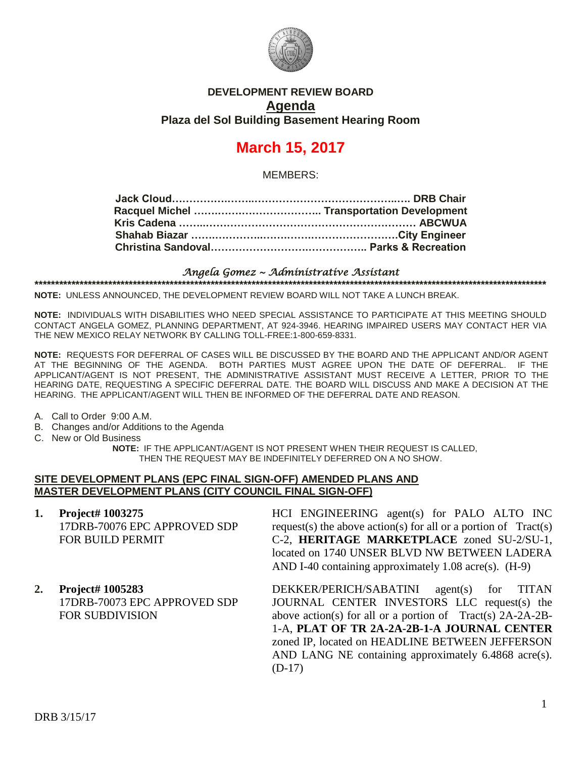

# **DEVELOPMENT REVIEW BOARD Agenda Plaza del Sol Building Basement Hearing Room**

# **March 15, 2017**

MEMBERS:

#### *Angela Gomez ~ Administrative Assistant* **\*\*\*\*\*\*\*\*\*\*\*\*\*\*\*\*\*\*\*\*\*\*\*\*\*\*\*\*\*\*\*\*\*\*\*\*\*\*\*\*\*\*\*\*\*\*\*\*\*\*\*\*\*\*\*\*\*\*\*\*\*\*\*\*\*\*\*\*\*\*\*\*\*\*\*\*\*\*\*\*\*\*\*\*\*\*\*\*\*\*\*\*\*\*\*\*\*\*\*\*\*\*\*\*\*\*\*\*\*\*\*\*\*\*\*\*\*\*\*\*\*\*\*\*\***

**NOTE:** UNLESS ANNOUNCED, THE DEVELOPMENT REVIEW BOARD WILL NOT TAKE A LUNCH BREAK.

**NOTE:** INDIVIDUALS WITH DISABILITIES WHO NEED SPECIAL ASSISTANCE TO PARTICIPATE AT THIS MEETING SHOULD CONTACT ANGELA GOMEZ, PLANNING DEPARTMENT, AT 924-3946. HEARING IMPAIRED USERS MAY CONTACT HER VIA THE NEW MEXICO RELAY NETWORK BY CALLING TOLL-FREE:1-800-659-8331.

**NOTE:** REQUESTS FOR DEFERRAL OF CASES WILL BE DISCUSSED BY THE BOARD AND THE APPLICANT AND/OR AGENT AT THE BEGINNING OF THE AGENDA. BOTH PARTIES MUST AGREE UPON THE DATE OF DEFERRAL. IF THE APPLICANT/AGENT IS NOT PRESENT, THE ADMINISTRATIVE ASSISTANT MUST RECEIVE A LETTER, PRIOR TO THE HEARING DATE, REQUESTING A SPECIFIC DEFERRAL DATE. THE BOARD WILL DISCUSS AND MAKE A DECISION AT THE HEARING. THE APPLICANT/AGENT WILL THEN BE INFORMED OF THE DEFERRAL DATE AND REASON.

A. Call to Order 9:00 A.M.

- B. Changes and/or Additions to the Agenda
- C. New or Old Business

**NOTE:** IF THE APPLICANT/AGENT IS NOT PRESENT WHEN THEIR REQUEST IS CALLED, THEN THE REQUEST MAY BE INDEFINITELY DEFERRED ON A NO SHOW.

#### **SITE DEVELOPMENT PLANS (EPC FINAL SIGN-OFF) AMENDED PLANS AND MASTER DEVELOPMENT PLANS (CITY COUNCIL FINAL SIGN-OFF)**

- **1. Project# 1003275** 17DRB-70076 EPC APPROVED SDP FOR BUILD PERMIT
- **2. Project# 1005283** 17DRB-70073 EPC APPROVED SDP FOR SUBDIVISION

HCI ENGINEERING agent(s) for PALO ALTO INC request(s) the above action(s) for all or a portion of  $Tract(s)$ C-2, **HERITAGE MARKETPLACE** zoned SU-2/SU-1, located on 1740 UNSER BLVD NW BETWEEN LADERA AND I-40 containing approximately 1.08 acre(s). (H-9)

DEKKER/PERICH/SABATINI agent(s) for TITAN JOURNAL CENTER INVESTORS LLC request(s) the above action(s) for all or a portion of Tract(s) 2A-2A-2B-1-A, **PLAT OF TR 2A-2A-2B-1-A JOURNAL CENTER** zoned IP, located on HEADLINE BETWEEN JEFFERSON AND LANG NE containing approximately 6.4868 acre(s). (D-17)